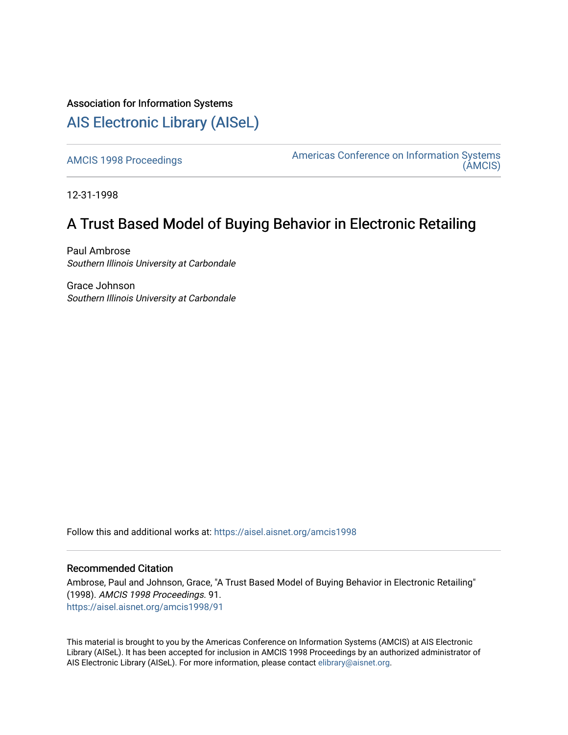# Association for Information Systems

# [AIS Electronic Library \(AISeL\)](https://aisel.aisnet.org/)

[AMCIS 1998 Proceedings](https://aisel.aisnet.org/amcis1998) **Americas Conference on Information Systems** [\(AMCIS\)](https://aisel.aisnet.org/amcis) 

12-31-1998

# A Trust Based Model of Buying Behavior in Electronic Retailing

Paul Ambrose Southern Illinois University at Carbondale

Grace Johnson Southern Illinois University at Carbondale

Follow this and additional works at: [https://aisel.aisnet.org/amcis1998](https://aisel.aisnet.org/amcis1998?utm_source=aisel.aisnet.org%2Famcis1998%2F91&utm_medium=PDF&utm_campaign=PDFCoverPages) 

## Recommended Citation

Ambrose, Paul and Johnson, Grace, "A Trust Based Model of Buying Behavior in Electronic Retailing" (1998). AMCIS 1998 Proceedings. 91. [https://aisel.aisnet.org/amcis1998/91](https://aisel.aisnet.org/amcis1998/91?utm_source=aisel.aisnet.org%2Famcis1998%2F91&utm_medium=PDF&utm_campaign=PDFCoverPages) 

This material is brought to you by the Americas Conference on Information Systems (AMCIS) at AIS Electronic Library (AISeL). It has been accepted for inclusion in AMCIS 1998 Proceedings by an authorized administrator of AIS Electronic Library (AISeL). For more information, please contact [elibrary@aisnet.org](mailto:elibrary@aisnet.org%3E).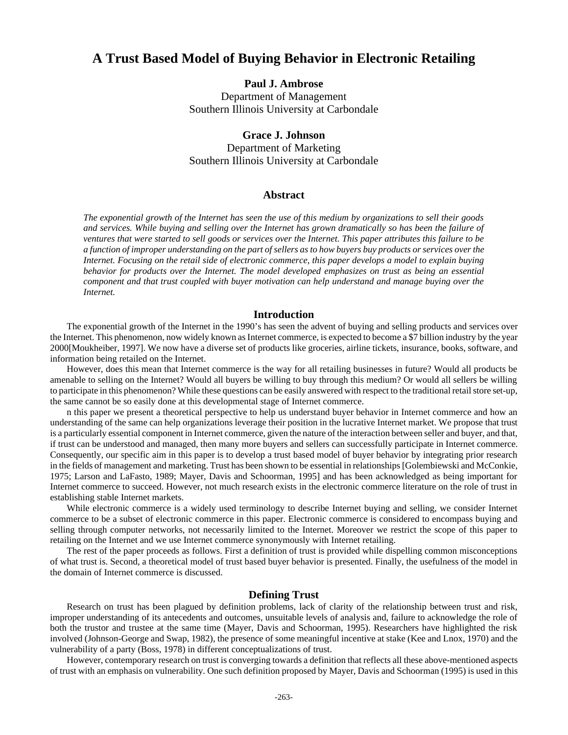# **A Trust Based Model of Buying Behavior in Electronic Retailing**

### **Paul J. Ambrose**

Department of Management Southern Illinois University at Carbondale

### **Grace J. Johnson**

Department of Marketing Southern Illinois University at Carbondale

### **Abstract**

*The exponential growth of the Internet has seen the use of this medium by organizations to sell their goods and services. While buying and selling over the Internet has grown dramatically so has been the failure of ventures that were started to sell goods or services over the Internet. This paper attributes this failure to be a function of improper understanding on the part of sellers as to how buyers buy products or services over the Internet. Focusing on the retail side of electronic commerce, this paper develops a model to explain buying behavior for products over the Internet. The model developed emphasizes on trust as being an essential component and that trust coupled with buyer motivation can help understand and manage buying over the Internet.*

#### **Introduction**

The exponential growth of the Internet in the 1990's has seen the advent of buying and selling products and services over the Internet. This phenomenon, now widely known as Internet commerce, is expected to become a \$7 billion industry by the year 2000[Moukheiber, 1997]. We now have a diverse set of products like groceries, airline tickets, insurance, books, software, and information being retailed on the Internet.

However, does this mean that Internet commerce is the way for all retailing businesses in future? Would all products be amenable to selling on the Internet? Would all buyers be willing to buy through this medium? Or would all sellers be willing to participate in this phenomenon? While these questions can be easily answered with respect to the traditional retail store set-up, the same cannot be so easily done at this developmental stage of Internet commerce.

n this paper we present a theoretical perspective to help us understand buyer behavior in Internet commerce and how an understanding of the same can help organizations leverage their position in the lucrative Internet market. We propose that trust is a particularly essential component in Internet commerce, given the nature of the interaction between seller and buyer, and that, if trust can be understood and managed, then many more buyers and sellers can successfully participate in Internet commerce. Consequently, our specific aim in this paper is to develop a trust based model of buyer behavior by integrating prior research in the fields of management and marketing. Trust has been shown to be essential in relationships [Golembiewski and McConkie, 1975; Larson and LaFasto, 1989; Mayer, Davis and Schoorman, 1995] and has been acknowledged as being important for Internet commerce to succeed. However, not much research exists in the electronic commerce literature on the role of trust in establishing stable Internet markets.

While electronic commerce is a widely used terminology to describe Internet buying and selling, we consider Internet commerce to be a subset of electronic commerce in this paper. Electronic commerce is considered to encompass buying and selling through computer networks, not necessarily limited to the Internet. Moreover we restrict the scope of this paper to retailing on the Internet and we use Internet commerce synonymously with Internet retailing.

The rest of the paper proceeds as follows. First a definition of trust is provided while dispelling common misconceptions of what trust is. Second, a theoretical model of trust based buyer behavior is presented. Finally, the usefulness of the model in the domain of Internet commerce is discussed.

#### **Defining Trust**

Research on trust has been plagued by definition problems, lack of clarity of the relationship between trust and risk, improper understanding of its antecedents and outcomes, unsuitable levels of analysis and, failure to acknowledge the role of both the trustor and trustee at the same time (Mayer, Davis and Schoorman, 1995). Researchers have highlighted the risk involved (Johnson-George and Swap, 1982), the presence of some meaningful incentive at stake (Kee and Lnox, 1970) and the vulnerability of a party (Boss, 1978) in different conceptualizations of trust.

However, contemporary research on trust is converging towards a definition that reflects all these above-mentioned aspects of trust with an emphasis on vulnerability. One such definition proposed by Mayer, Davis and Schoorman (1995) is used in this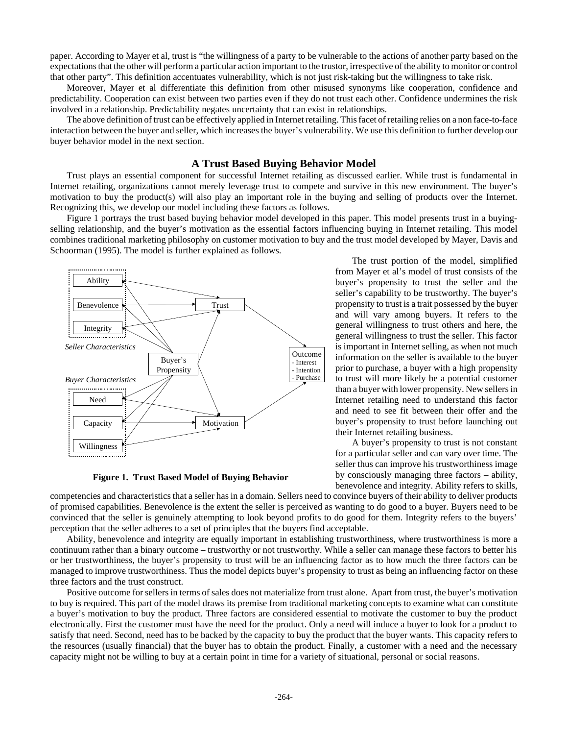paper. According to Mayer et al, trust is "the willingness of a party to be vulnerable to the actions of another party based on the expectations that the other will perform a particular action important to the trustor, irrespective of the ability to monitor or control that other party". This definition accentuates vulnerability, which is not just risk-taking but the willingness to take risk.

Moreover, Mayer et al differentiate this definition from other misused synonyms like cooperation, confidence and predictability. Cooperation can exist between two parties even if they do not trust each other. Confidence undermines the risk involved in a relationship. Predictability negates uncertainty that can exist in relationships.

The above definition of trust can be effectively applied in Internet retailing. This facet of retailing relies on a non face-to-face interaction between the buyer and seller, which increases the buyer's vulnerability. We use this definition to further develop our buyer behavior model in the next section.

#### **A Trust Based Buying Behavior Model**

Trust plays an essential component for successful Internet retailing as discussed earlier. While trust is fundamental in Internet retailing, organizations cannot merely leverage trust to compete and survive in this new environment. The buyer's motivation to buy the product(s) will also play an important role in the buying and selling of products over the Internet. Recognizing this, we develop our model including these factors as follows.

Figure 1 portrays the trust based buying behavior model developed in this paper. This model presents trust in a buyingselling relationship, and the buyer's motivation as the essential factors influencing buying in Internet retailing. This model combines traditional marketing philosophy on customer motivation to buy and the trust model developed by Mayer, Davis and Schoorman (1995). The model is further explained as follows.



**Figure 1. Trust Based Model of Buying Behavior**

The trust portion of the model, simplified from Mayer et al's model of trust consists of the buyer's propensity to trust the seller and the seller's capability to be trustworthy. The buyer's propensity to trust is a trait possessed by the buyer and will vary among buyers. It refers to the general willingness to trust others and here, the general willingness to trust the seller. This factor is important in Internet selling, as when not much information on the seller is available to the buyer prior to purchase, a buyer with a high propensity to trust will more likely be a potential customer than a buyer with lower propensity. New sellers in Internet retailing need to understand this factor and need to see fit between their offer and the buyer's propensity to trust before launching out their Internet retailing business.

A buyer's propensity to trust is not constant for a particular seller and can vary over time. The seller thus can improve his trustworthiness image by consciously managing three factors – ability, benevolence and integrity. Ability refers to skills,

competencies and characteristics that a seller has in a domain. Sellers need to convince buyers of their ability to deliver products of promised capabilities. Benevolence is the extent the seller is perceived as wanting to do good to a buyer. Buyers need to be convinced that the seller is genuinely attempting to look beyond profits to do good for them. Integrity refers to the buyers' perception that the seller adheres to a set of principles that the buyers find acceptable.

Ability, benevolence and integrity are equally important in establishing trustworthiness, where trustworthiness is more a continuum rather than a binary outcome – trustworthy or not trustworthy. While a seller can manage these factors to better his or her trustworthiness, the buyer's propensity to trust will be an influencing factor as to how much the three factors can be managed to improve trustworthiness. Thus the model depicts buyer's propensity to trust as being an influencing factor on these three factors and the trust construct.

Positive outcome for sellers in terms of sales does not materialize from trust alone. Apart from trust, the buyer's motivation to buy is required. This part of the model draws its premise from traditional marketing concepts to examine what can constitute a buyer's motivation to buy the product. Three factors are considered essential to motivate the customer to buy the product electronically. First the customer must have the need for the product. Only a need will induce a buyer to look for a product to satisfy that need. Second, need has to be backed by the capacity to buy the product that the buyer wants. This capacity refers to the resources (usually financial) that the buyer has to obtain the product. Finally, a customer with a need and the necessary capacity might not be willing to buy at a certain point in time for a variety of situational, personal or social reasons.